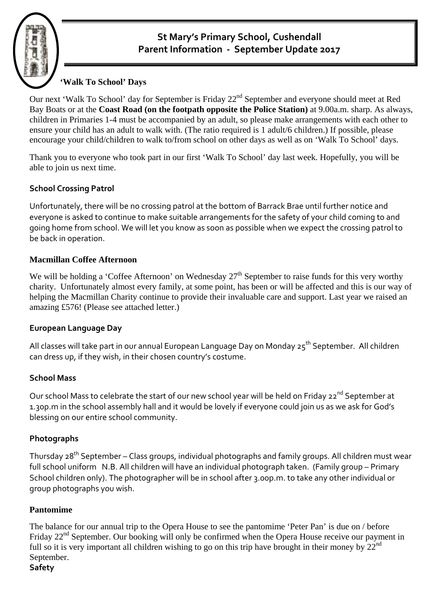# **St Mary's Primary School, Cushendall Parent Information ‐ September Update <sup>2017</sup>**

# **'Walk To School' Days**

Our next 'Walk To School' day for September is Friday 22<sup>nd</sup> September and everyone should meet at Red Bay Boats or at the **Coast Road (on the footpath opposite the Police Station)** at 9.00a.m. sharp. As always, children in Primaries 1-4 must be accompanied by an adult, so please make arrangements with each other to ensure your child has an adult to walk with. (The ratio required is 1 adult/6 children.) If possible, please encourage your child/children to walk to/from school on other days as well as on 'Walk To School' days.

Thank you to everyone who took part in our first 'Walk To School' day last week. Hopefully, you will be able to join us next time.

## **School Crossing Patrol**

Unfortunately, there will be no crossing patrol at the bottom of Barrack Brae until further notice and everyone is asked to continue to make suitable arrangements for the safety of your child coming to and going home from school. We will let you know as soon as possible when we expect the crossing patrol to be back in operation.

## **Macmillan Coffee Afternoon**

We will be holding a 'Coffee Afternoon' on Wednesday  $27<sup>th</sup>$  September to raise funds for this very worthy charity. Unfortunately almost every family, at some point, has been or will be affected and this is our way of helping the Macmillan Charity continue to provide their invaluable care and support. Last year we raised an amazing £576! (Please see attached letter.)

#### **European Language Day**

All classes will take part in our annual European Language Day on Monday 25<sup>th</sup> September. All children can dress up, if they wish, in their chosen country's costume.

#### **School Mass**

Our school Mass to celebrate the start of our new school year will be held on Friday 22<sup>nd</sup> September at 1.30p.m in the school assembly hall and it would be lovely if everyone could join us as we ask for God's blessing on our entire school community.

#### **Photographs**

Thursday 28<sup>th</sup> September – Class groups, individual photographs and family groups. All children must wear full school uniform N.B. All children will have an individual photograph taken. (Family group – Primary School children only). The photographer will be in school after 3.00p.m. to take any other individual or group photographs you wish.

#### **Pantomime**

The balance for our annual trip to the Opera House to see the pantomime 'Peter Pan' is due on / before Friday 22<sup>nd</sup> September. Our booking will only be confirmed when the Opera House receive our payment in full so it is very important all children wishing to go on this trip have brought in their money by  $22^{nd}$ September.

#### **Safety**